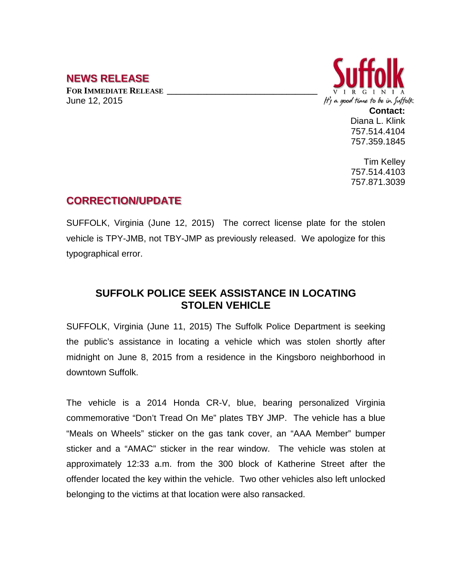## **NEWS RELEASE**

**FOR IMMEDIATE RELEASE \_\_\_\_\_\_\_\_\_\_\_\_\_\_\_\_\_\_\_\_\_\_\_\_\_\_\_\_\_\_\_\_\_\_** June 12, 2015



**Contact:** Diana L. Klink 757.514.4104 757.359.1845

Tim Kelley 757.514.4103 757.871.3039

## **CORRECTION/UPDATE**

SUFFOLK, Virginia (June 12, 2015) The correct license plate for the stolen vehicle is TPY-JMB, not TBY-JMP as previously released. We apologize for this typographical error.

## **SUFFOLK POLICE SEEK ASSISTANCE IN LOCATING STOLEN VEHICLE**

SUFFOLK, Virginia (June 11, 2015) The Suffolk Police Department is seeking the public's assistance in locating a vehicle which was stolen shortly after midnight on June 8, 2015 from a residence in the Kingsboro neighborhood in downtown Suffolk.

The vehicle is a 2014 Honda CR-V, blue, bearing personalized Virginia commemorative "Don't Tread On Me" plates TBY JMP. The vehicle has a blue "Meals on Wheels" sticker on the gas tank cover, an "AAA Member" bumper sticker and a "AMAC" sticker in the rear window. The vehicle was stolen at approximately 12:33 a.m. from the 300 block of Katherine Street after the offender located the key within the vehicle. Two other vehicles also left unlocked belonging to the victims at that location were also ransacked.